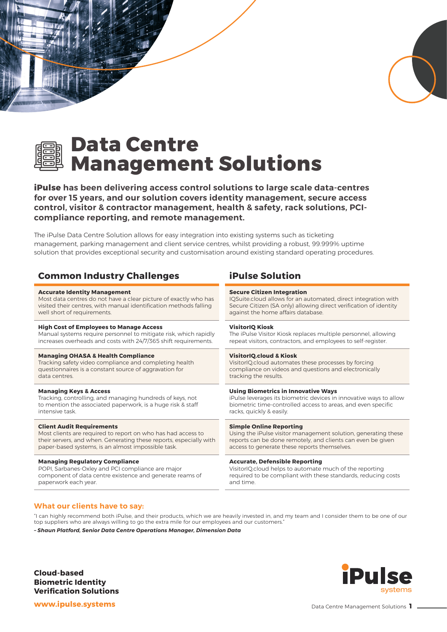



*MATHAMANY* 

# **Data Centre Management Solutions**

**iPulse has been delivering access control solutions to large scale data-centres for over 15 years, and our solution covers identity management, secure access control, visitor & contractor management, health & safety, rack solutions, PCIcompliance reporting, and remote management.**

The iPulse Data Centre Solution allows for easy integration into existing systems such as ticketing management, parking management and client service centres, whilst providing a robust, 99.999% uptime solution that provides exceptional security and customisation around existing standard operating procedures.

# **Common Industry Challenges iPulse Solution**

#### **Accurate Identity Management**

Most data centres do not have a clear picture of exactly who has visited their centres, with manual identification methods falling well short of requirements.

#### **High Cost of Employees to Manage Access**

Manual systems require personnel to mitigate risk, which rapidly increases overheads and costs with 24/7/365 shift requirements.

#### **Managing OHASA & Health Compliance**

Tracking safety video compliance and completing health questionnaires is a constant source of aggravation for data centres.

#### **Managing Keys & Access**

Tracking, controlling, and managing hundreds of keys, not to mention the associated paperwork, is a huge risk & staff intensive task.

#### **Client Audit Requirements**

Most clients are required to report on who has had access to their servers, and when. Generating these reports, especially with paper-based systems, is an almost impossible task.

#### **Managing Regulatory Compliance**

POPI, Sarbanes-Oxley and PCI compliance are major component of data centre existence and generate reams of paperwork each year.

#### **Secure Citizen Integration**

IQSuite.cloud allows for an automated, direct integration with Secure Citizen (SA only) allowing direct verification of identity against the home affairs database.

### **VisitorIQ Kiosk**

The iPulse Visitor Kiosk replaces multiple personnel, allowing repeat visitors, contractors, and employees to self-register.

#### **VisitorIQ.cloud & Kiosk**

VisitorIQ.cloud automates these processes by forcing compliance on videos and questions and electronically tracking the results.

#### **Using Biometrics in Innovative Ways**

iPulse leverages its biometric devices in innovative ways to allow biometric time-controlled access to areas, and even specific racks, quickly & easily.

#### **Simple Online Reporting**

Using the iPulse visitor management solution, generating these reports can be done remotely, and clients can even be given access to generate these reports themselves.

#### **Accurate, Defensible Reporting**

VisitorIQ.cloud helps to automate much of the reporting required to be compliant with these standards, reducing costs and time.

### **What our clients have to say:**

"I can highly recommend both iPulse, and their products, which we are heavily invested in, and my team and I consider them to be one of our top suppliers who are always willing to go the extra mile for our employees and our customers."

*– Shaun Platford, Senior Data Centre Operations Manager, Dimension Data*

**Cloud-based Biometric Identity Verification Solutions**